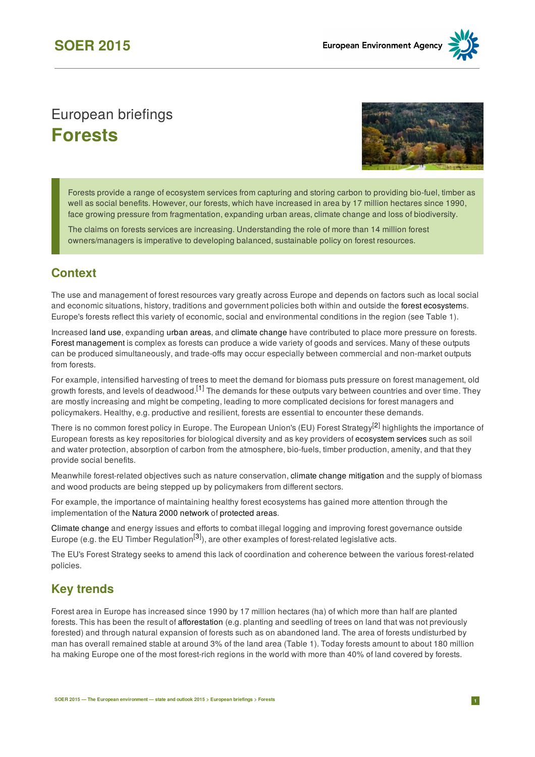# European briefings **Forests**



Forests provide a range of ecosystem services from capturing and storing carbon to providing bio-fuel, timber as well as social benefits. However, our forests, which have increased in area by 17 million hectares since 1990, face growing pressure from fragmentation, expanding urban areas, climate change and loss of biodiversity.

The claims on forests services are increasing. Understanding the role of more than 14 million forest owners/managers is imperative to developing balanced, sustainable policy on forest resources.

### **Context**

The use and management of forest resources vary greatly across Europe and depends on factors such as local social and economic situations, history, traditions and government policies both within and outside the forest [ecosystem](http://glossary.eea.europa.eu/terminology/concept_html?term=forest ecosystem)s. Europe's forests reflect this variety of economic, social and environmental conditions in the region (see Table 1).

Increased [land](https://www.eea.europa.eu/soer-2015/europe/land) use, expanding [urban](https://www.eea.europa.eu/soer-2015/europe/urban-systems) areas, and climate [change](https://www.eea.europa.eu/soer-2015/europe/climate-change-impacts-and-adaptation) have contributed to place more pressure on forests. Forest [management](http://glossary.eea.europa.eu/terminology/concept_html?term=forest management) is complex as forests can produce a wide variety of goods and services. Many of these outputs can be produced simultaneously, and trade-offs may occur especially between commercial and non-market outputs from forests.

For example, intensified harvesting of trees to meet the demand for biomass puts pressure on forest management, old growth forests, and levels of deadwood.<sup>[\[1](https://www.eea.europa.eu/soer-2015/europe/forests#note1)]</sup> The demands for these outputs vary between countries and over time. They are mostly increasing and might be competing, leading to more complicated decisions for forest managers and policymakers. Healthy, e.g. productive and resilient, forests are essential to encounter these demands.

There is no common forest policy in Europe. The European Union's (EU) Forest Strategy<sup>[\[2\]](https://www.eea.europa.eu/soer-2015/europe/forests#note2)</sup> highlights the importance of European forests as key repositories for biological diversity and as key providers of [ecosystem](https://www.eea.europa.eu/soer-2015/europe/natural-capital-and-ecosystem-services) services such as soil and water protection, absorption of carbon from the atmosphere, bio-fuels, timber production, amenity, and that they provide social benefits.

Meanwhile forest-related objectives such as nature conservation, climate change [mitigation](https://www.eea.europa.eu/soer-2015/europe/mitigating-climate-change) and the supply of biomass and wood products are being stepped up by policymakers from different sectors.

For example, the importance of maintaining healthy forest ecosystems has gained more attention through the implementation of the Natura 2000 [network](http://glossary.eea.europa.eu/terminology/concept_html?term=natura 2000) of [protected](https://www.eea.europa.eu/themes/biodiversity/protected-areas) areas.

[Climate](http://glossary.eea.europa.eu/terminology/concept_html?term=climate change) change and energy issues and efforts to combat illegal logging and improving forest governance outside Europe (e.g. the EU Timber Regulation<sup>[[3](https://www.eea.europa.eu/soer-2015/europe/forests#note3)]</sup>), are other examples of forest-related legislative acts.

The EU's Forest Strategy seeks to amend this lack of coordination and coherence between the various forest-related policies.

## **Key trends**

Forest area in Europe has increased since 1990 by 17 million hectares (ha) of which more than half are planted forests. This has been the result of [afforestation](http://glossary.eea.europa.eu/terminology/concept_html?term=afforestation) (e.g. planting and seedling of trees on land that was not previously forested) and through natural expansion of forests such as on abandoned land. The area of forests undisturbed by man has overall remained stable at around 3% of the land area (Table 1). Today forests amount to about 180 million ha making Europe one of the most forest-rich regions in the world with more than 40% of land covered by forests.

**[4]**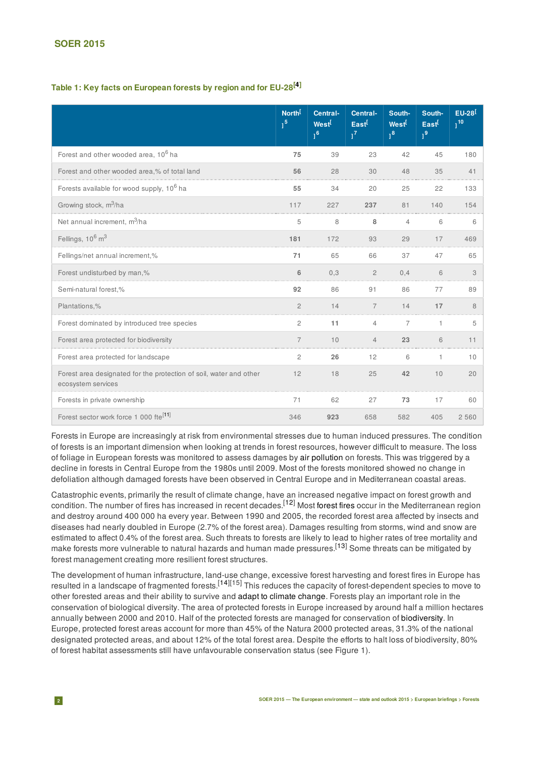#### **SOER 2015**

#### **Table 1: Key facts on European forests by region and for EU-28 [\[4](https://www.eea.europa.eu/soer-2015/europe/forests#note4)]**

|                                                                                          | North <sup>[</sup><br>1 <sup>5</sup> | Central-<br>West <sup>[</sup><br>1 <sup>6</sup> | Central-<br>East<br>$1^7$ | South-<br>West <sup>[</sup><br>$1^8$ | South-<br>East<br>1 <sup>9</sup> | $EU-28$ <sup>[</sup><br>$1^{10}$ |
|------------------------------------------------------------------------------------------|--------------------------------------|-------------------------------------------------|---------------------------|--------------------------------------|----------------------------------|----------------------------------|
| Forest and other wooded area, 10 <sup>6</sup> ha                                         | 75                                   | 39                                              | 23                        | 42                                   | 45                               | 180                              |
| Forest and other wooded area,% of total land                                             | 56                                   | 28                                              | 30                        | 48                                   | 35                               | 41                               |
| Forests available for wood supply, 10 <sup>6</sup> ha                                    | 55                                   | 34                                              | 20                        | 25                                   | 22                               | 133                              |
| Growing stock, m <sup>3</sup> /ha                                                        | 117                                  | 227                                             | 237                       | 81                                   | 140                              | 154                              |
| Net annual increment, $m^3/ha$                                                           | 5                                    | 8                                               | 8                         | 4                                    | 6                                | 6                                |
| Fellings, 10 <sup>6</sup> m <sup>3</sup>                                                 | 181                                  | 172                                             | 93                        | 29                                   | 17                               | 469                              |
| Fellings/net annual increment,%                                                          | 71                                   | 65                                              | 66                        | 37                                   | 47                               | 65                               |
| Forest undisturbed by man,%                                                              | 6                                    | 0,3                                             | $\overline{2}$            | 0,4                                  | 6                                | 3                                |
| Semi-natural forest,%                                                                    | 92                                   | 86                                              | 91                        | 86                                   | 77                               | 89                               |
| Plantations,%                                                                            | $\overline{2}$                       | 14                                              | $\overline{7}$            | 14                                   | 17                               | 8                                |
| Forest dominated by introduced tree species                                              | 2                                    | 11                                              | 4                         | 7                                    | 1                                | 5                                |
| Forest area protected for biodiversity                                                   |                                      | 10                                              | $\Delta$                  | 23                                   | 6                                | 11                               |
| Forest area protected for landscape                                                      | 2                                    | 26                                              | 12                        | 6                                    | 1                                | 10                               |
| Forest area designated for the protection of soil, water and other<br>ecosystem services | 12                                   | 18                                              | 25                        | 42                                   | 10                               | 20                               |
| Forests in private ownership                                                             | 71                                   | 62                                              | 27                        | 73                                   | 17                               | 60                               |
| Forest sector work force 1 000 fte <sup>[11]</sup>                                       | 346                                  | 923                                             | 658                       | 582                                  | 405                              | 2 5 6 0                          |

Forests in Europe are increasingly at risk from environmental stresses due to human induced pressures. The condition of forests is an important dimension when looking at trends in forest resources, however difficult to measure. The loss of foliage in European forests was monitored to assess damages by air [pollution](https://www.eea.europa.eu/soer-2015/europe/air) on forests. This was triggered by a decline in forests in Central Europe from the 1980s until 2009. Most of the forests monitored showed no change in defoliation although damaged forests have been observed in Central Europe and in Mediterranean coastal areas.

Catastrophic events, primarily the result of climate change, have an increased negative impact on forest growth and condition. The number of fires has increased in recent decades.<sup>[12]</sup> Most [forest](https://www.eea.europa.eu/publications/climate-impacts-and-vulnerability-2012) fires occur in the Mediterranean region and destroy around 400 000 ha every year. Between 1990 and 2005, the recorded forest area affected by insects and diseases had nearly doubled in Europe (2.7% of the forest area). Damages resulting from storms, wind and snow are estimated to affect 0.4% of the forest area. Such threats to forests are likely to lead to higher rates of tree mortality and make forests more vulnerable to natural hazards and human made pressures.<sup>[[13](https://www.eea.europa.eu/soer-2015/europe/forests#note13)]</sup> Some threats can be mitigated by forest management creating more resilient forest structures.

The development of human infrastructure, land-use change, excessive forest harvesting and forest fires in Europe has resulted in a landscape of fragmented forests.<sup>[\[14\]](https://www.eea.europa.eu/soer-2015/europe/forests#note14)[15]</sup> This reduces the capacity of forest-dependent species to move to other forested areas and their ability to survive and adapt to climate [change](https://www.eea.europa.eu/soer-2015/europe/climate-change-impacts-and-adaptation). Forests play an important role in the conservation of biological diversity. The area of protected forests in Europe increased by around half a million hectares annually between 2000 and 2010. Half of the protected forests are managed for conservation of [biodiversity.](https://www.eea.europa.eu/soer-2015/europe/biodiversity) In Europe, protected forest areas account for more than 45% of the Natura 2000 protected areas, 31.3% of the national designated protected areas, and about 12% of the total forest area. Despite the efforts to halt loss of biodiversity, 80% of forest habitat assessments still have unfavourable conservation status (see Figure 1).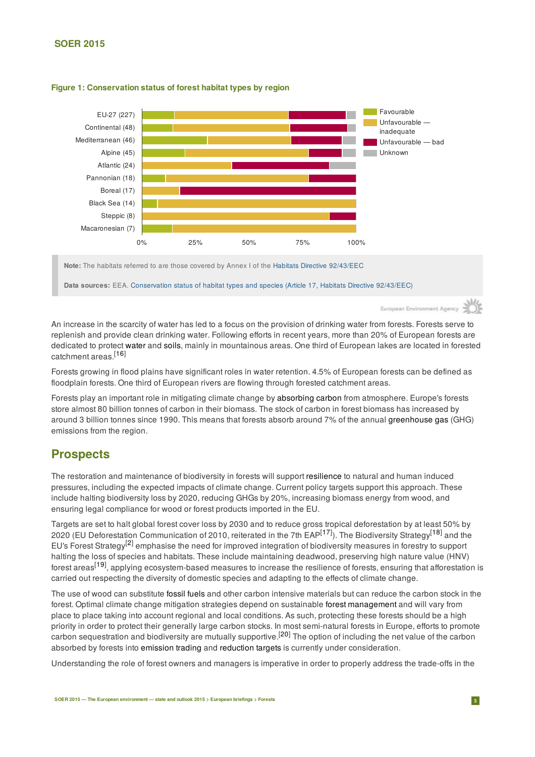#### **SOER 2015**



#### **Figure 1: Conservation status of forest habitat types by region**

**Data sources:** EEA. Conservation status of habitat types and species (Article 17, Habitats Directive 92/43/EEC)

European Environ

An increase in the scarcity of water has led to a focus on the provision of drinking water from forests. Forests serve to replenish and provide clean drinking water. Following efforts in recent years, more than 20% of European forests are dedicated to protect [water](https://www.eea.europa.eu/soer-2015/europe/freshwater) and [soils](https://www.eea.europa.eu/soer-2015/europe/soil), mainly in mountainous areas. One third of European lakes are located in forested catchment areas.<sup>[[16](https://www.eea.europa.eu/soer-2015/europe/forests#note16)]</sup>

Forests growing in flood plains have significant roles in water retention. 4.5% of European forests can be defined as floodplain forests. One third of European rivers are flowing through forested catchment areas.

Forests play an important role in mitigating climate change by [absorbing](http://glossary.eea.europa.eu/terminology/concept_html?term=carbon sink) carbon from atmosphere. Europe's forests store almost 80 billion tonnes of carbon in their biomass. The stock of carbon in forest biomass has increased by around 3 billion tonnes since 1990. This means that forests absorb around 7% of the annual [greenhouse](http://glossary.eea.europa.eu/terminology/concept_html?term=greenhouse gas) gas (GHG) emissions from the region.

### **Prospects**

The restoration and maintenance of biodiversity in forests will support [resilience](http://glossary.eea.europa.eu/terminology/concept_html?term=ecological or ecosystem resilience) to natural and human induced pressures, including the expected impacts of climate change. Current policy targets support this approach. These include halting biodiversity loss by 2020, reducing GHGs by 20%, increasing biomass energy from wood, and ensuring legal compliance for wood or forest products imported in the EU.

Targets are set to halt global forest cover loss by 2030 and to reduce gross tropical deforestation by at least 50% by 2020 (EU Deforestation Communication of 2010, reiterated in the 7th EAP<sup>[\[17\]](https://www.eea.europa.eu/soer-2015/europe/forests#note17)</sup>). The Biodiversity Strategy<sup>[[18\]](https://www.eea.europa.eu/soer-2015/europe/forests#note18)</sup> and the EU's Forest Strategy<sup>[[2](https://www.eea.europa.eu/soer-2015/europe/forests#note2)]</sup> emphasise the need for improved integration of biodiversity measures in forestry to support halting the loss of species and habitats. These include maintaining deadwood, preserving high nature value (HNV) forest areas<sup>[\[19](https://www.eea.europa.eu/soer-2015/europe/forests#note19)]</sup>, applying ecosystem-based measures to increase the resilience of forests, ensuring that afforestation is carried out respecting the diversity of domestic species and adapting to the effects of climate change.

The use of wood can substitute [fossil](http://glossary.eea.europa.eu/terminology/concept_html?term=fossil fuel) fuels and other carbon intensive materials but can reduce the carbon stock in the forest. Optimal climate change mitigation strategies depend on sustainable forest [management](http://glossary.eea.europa.eu/terminology/concept_html?term=forest management) and will vary from place to place taking into account regional and local conditions. As such, protecting these forests should be a high priority in order to protect their generally large carbon stocks. In most semi-natural forests in Europe, efforts to promote carbon sequestration and biodiversity are mutually supportive.<sup>[[20](https://www.eea.europa.eu/soer-2015/europe/forests#note20)]</sup> The option of including the net value of the carbon absorbed by forests into [emission](http://glossary.eea.europa.eu/terminology/concept_html?term=emission trading) trading and [reduction](http://glossary.eea.europa.eu/terminology/concept_html?term=emission reduction) targets is currently under consideration.

Understanding the role of forest owners and managers is imperative in order to properly address the trade-offs in the